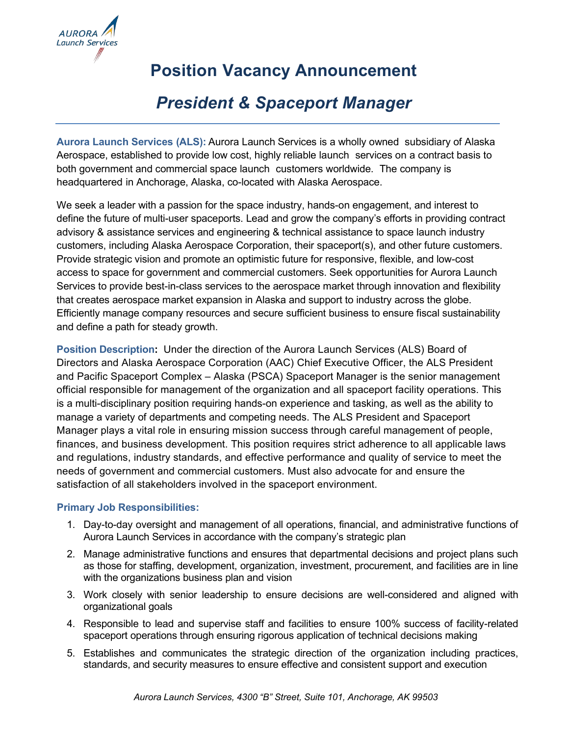

# **Position Vacancy Announcement**

# *President & Spaceport Manager*

**Aurora Launch Services (ALS):** Aurora Launch Services is a wholly owned subsidiary of Alaska Aerospace, established to provide low cost, highly reliable launch services on a contract basis to both government and commercial space launch customers worldwide. The company is headquartered in Anchorage, Alaska, co-located with Alaska Aerospace.

We seek a leader with a passion for the space industry, hands-on engagement, and interest to define the future of multi-user spaceports. Lead and grow the company's efforts in providing contract advisory & assistance services and engineering & technical assistance to space launch industry customers, including Alaska Aerospace Corporation, their spaceport(s), and other future customers. Provide strategic vision and promote an optimistic future for responsive, flexible, and low-cost access to space for government and commercial customers. Seek opportunities for Aurora Launch Services to provide best-in-class services to the aerospace market through innovation and flexibility that creates aerospace market expansion in Alaska and support to industry across the globe. Efficiently manage company resources and secure sufficient business to ensure fiscal sustainability and define a path for steady growth.

**Position Description:** Under the direction of the Aurora Launch Services (ALS) Board of Directors and Alaska Aerospace Corporation (AAC) Chief Executive Officer, the ALS President and Pacific Spaceport Complex – Alaska (PSCA) Spaceport Manager is the senior management official responsible for management of the organization and all spaceport facility operations. This is a multi-disciplinary position requiring hands-on experience and tasking, as well as the ability to manage a variety of departments and competing needs. The ALS President and Spaceport Manager plays a vital role in ensuring mission success through careful management of people, finances, and business development. This position requires strict adherence to all applicable laws and regulations, industry standards, and effective performance and quality of service to meet the needs of government and commercial customers. Must also advocate for and ensure the satisfaction of all stakeholders involved in the spaceport environment.

#### **Primary Job Responsibilities:**

- 1. Day-to-day oversight and management of all operations, financial, and administrative functions of Aurora Launch Services in accordance with the company's strategic plan
- 2. Manage administrative functions and ensures that departmental decisions and project plans such as those for staffing, development, organization, investment, procurement, and facilities are in line with the organizations business plan and vision
- 3. Work closely with senior leadership to ensure decisions are well-considered and aligned with organizational goals
- 4. Responsible to lead and supervise staff and facilities to ensure 100% success of facility-related spaceport operations through ensuring rigorous application of technical decisions making
- 5. Establishes and communicates the strategic direction of the organization including practices, standards, and security measures to ensure effective and consistent support and execution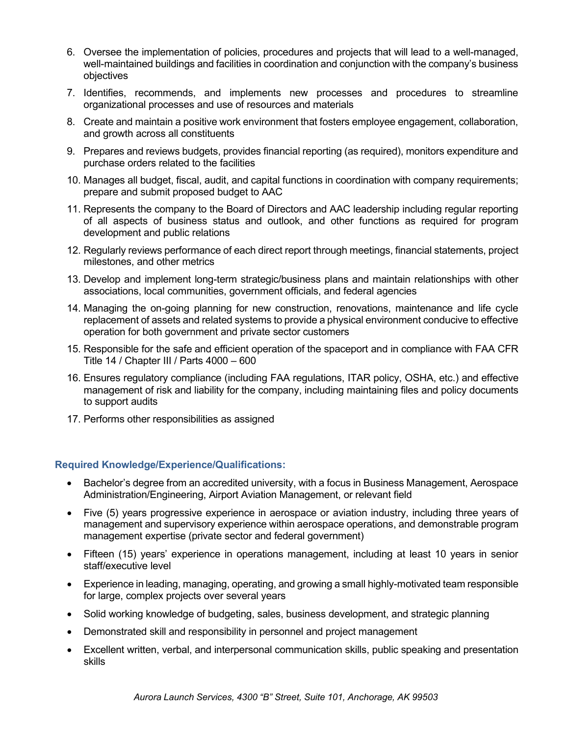- 6. Oversee the implementation of policies, procedures and projects that will lead to a well-managed, well-maintained buildings and facilities in coordination and conjunction with the company's business objectives
- 7. Identifies, recommends, and implements new processes and procedures to streamline organizational processes and use of resources and materials
- 8. Create and maintain a positive work environment that fosters employee engagement, collaboration, and growth across all constituents
- 9. Prepares and reviews budgets, provides financial reporting (as required), monitors expenditure and purchase orders related to the facilities
- 10. Manages all budget, fiscal, audit, and capital functions in coordination with company requirements; prepare and submit proposed budget to AAC
- 11. Represents the company to the Board of Directors and AAC leadership including regular reporting of all aspects of business status and outlook, and other functions as required for program development and public relations
- 12. Regularly reviews performance of each direct report through meetings, financial statements, project milestones, and other metrics
- 13. Develop and implement long-term strategic/business plans and maintain relationships with other associations, local communities, government officials, and federal agencies
- 14. Managing the on-going planning for new construction, renovations, maintenance and life cycle replacement of assets and related systems to provide a physical environment conducive to effective operation for both government and private sector customers
- 15. Responsible for the safe and efficient operation of the spaceport and in compliance with FAA CFR Title 14 / Chapter III / Parts 4000 – 600
- 16. Ensures regulatory compliance (including FAA regulations, ITAR policy, OSHA, etc.) and effective management of risk and liability for the company, including maintaining files and policy documents to support audits
- 17. Performs other responsibilities as assigned

#### **Required Knowledge/Experience/Qualifications:**

- Bachelor's degree from an accredited university, with a focus in Business Management, Aerospace Administration/Engineering, Airport Aviation Management, or relevant field
- Five (5) years progressive experience in aerospace or aviation industry, including three years of management and supervisory experience within aerospace operations, and demonstrable program management expertise (private sector and federal government)
- Fifteen (15) years' experience in operations management, including at least 10 years in senior staff/executive level
- Experience in leading, managing, operating, and growing a small highly-motivated team responsible for large, complex projects over several years
- Solid working knowledge of budgeting, sales, business development, and strategic planning
- Demonstrated skill and responsibility in personnel and project management
- Excellent written, verbal, and interpersonal communication skills, public speaking and presentation skills